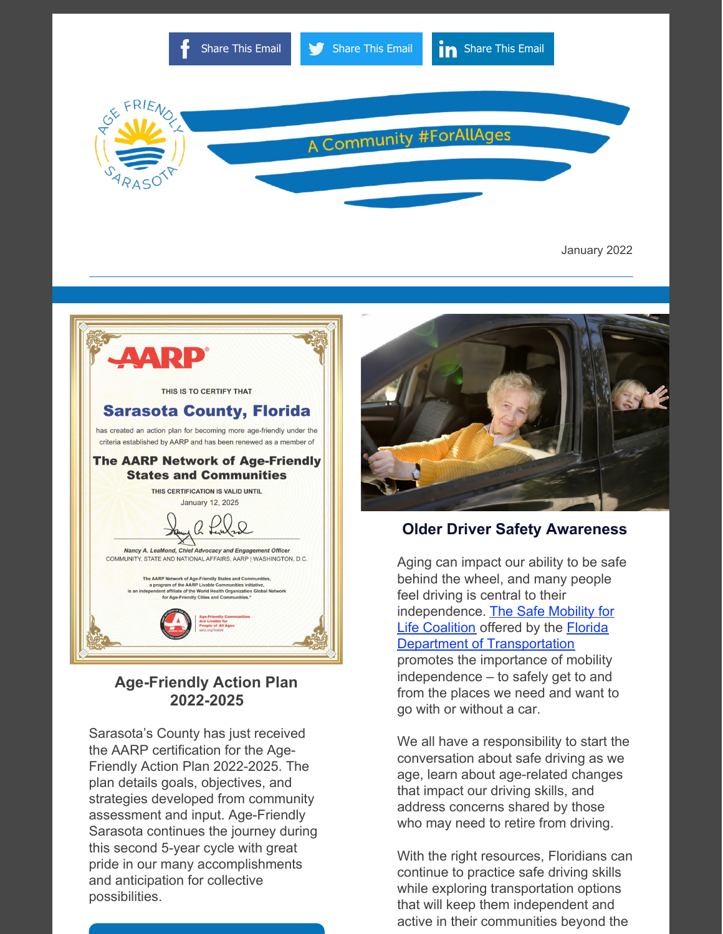

January 2022



## **Age-Friendly Action Plan 2022-2025**

Sarasota's County has just received the AARP certification for the Age-Friendly Action Plan 2022-2025. The plan details goals, objectives, and strategies developed from community assessment and input. Age-Friendly Sarasota continues the journey during this second 5-year cycle with great pride in our many accomplishments and anticipation for collective possibilities.



#### **Older Driver Safety Awareness**

Aging can impact our ability to be safe behind the wheel, and many people feel driving is central to their [independence.](http://safemobilityfl.com/) The Safe Mobility for Life Coalition offered by the Florida Department of [Transportation](https://www.fdot.gov/) promotes the importance of mobility independence – to safely get to and from the places we need and want to go with or without a car.

We all have a responsibility to start the conversation about safe driving as we age, learn about age-related changes that impact our driving skills, and address concerns shared by those who may need to retire from driving.

With the right resources, Floridians can continue to practice safe driving skills while exploring transportation options that will keep them independent and active in their communities beyond the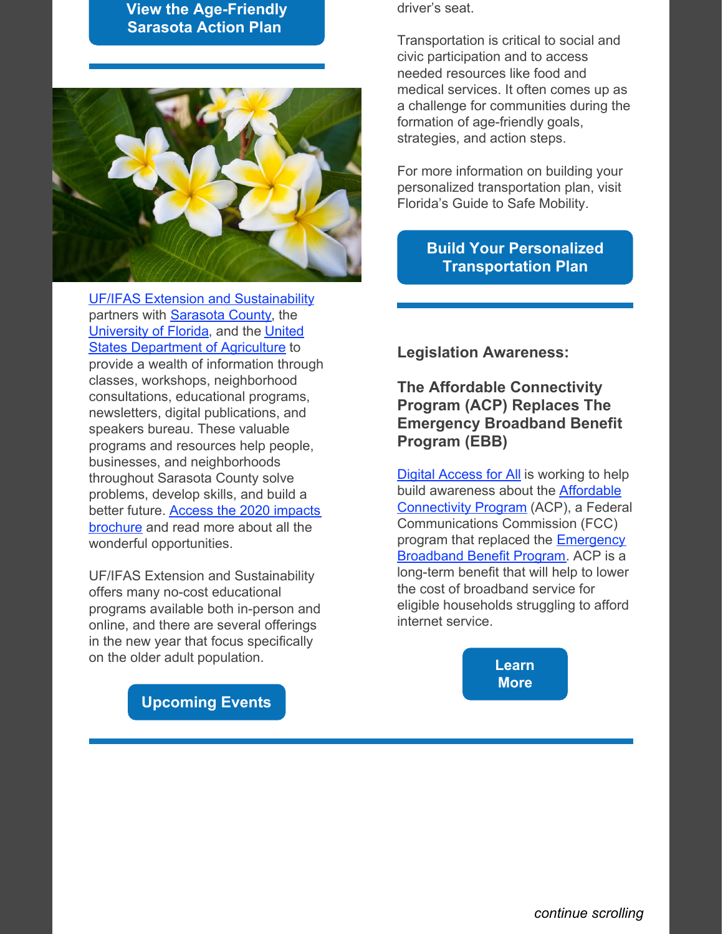## **[View the Age-Friendly](https://agefriendlysarasota.org/images/Age_Friendly_Action_Plan_2022-2025.pdf) Sarasota Action Plan**



[UF/IFAS Extension and Sustainability](https://www.scgov.net/government/departments/sustainability) partners with **Sarasota County**, the [University of Florida, and the United](https://www.usda.gov/) States Department of Agriculture to provide a wealth of information through classes, workshops, neighborhood consultations, educational programs, newsletters, digital publications, and speakers bureau. These valuable programs and resources help people, businesses, and neighborhoods throughout Sarasota County solve problems, develop skills, and build a [better future. Access the 2020 impacts](http://sfyl.ifas.ufl.edu/media/sfylifasufledu/sarasota/documents/pdf/newsnotesandmore/2021_Comms_factsheetPBLC_FINAL_ADA.pdf) brochure and read more about all the wonderful opportunities.

UF/IFAS Extension and Sustainability offers many no-cost educational programs available both in-person and online, and there are several offerings in the new year that focus specifically on the older adult population.

driver's seat.

Transportation is critical to social and civic participation and to access needed resources like food and medical services. It often comes up as a challenge for communities during the formation of age-friendly goals, strategies, and action steps.

For more information on building your personalized transportation plan, visit Florida's Guide to Safe Mobility.

## **[Build Your Personalized](http://safemobilityfl.com/) Transportation Plan**

**Legislation Awareness:**

**The Affordable Connectivity Program (ACP) Replaces The Emergency Broadband Benefit Program (EBB)**

**[Digital Access for All](https://www.thepattersonfoundation.org/digital-access-for-all.html)** is working to help [build awareness about the Affordable](https://www.fcc.gov/acp) Connectivity Program (ACP), a Federal Communications Commission (FCC) [program that replaced the Emergency](https://www.fcc.gov/broadbandbenefit) Broadband Benefit Program. ACP is a long-term benefit that will help to lower the cost of broadband service for eligible households struggling to afford internet service.

> **[Learn](https://www.thepattersonfoundation.org/blog/the-affordable-connectivity-program-acp-replaces-the-emergency-broadband-benefit-program-ebb.html) More**

**[Upcoming Events](https://www.eventbrite.com/o/ufifas-extension-sarasota-county-422952084)**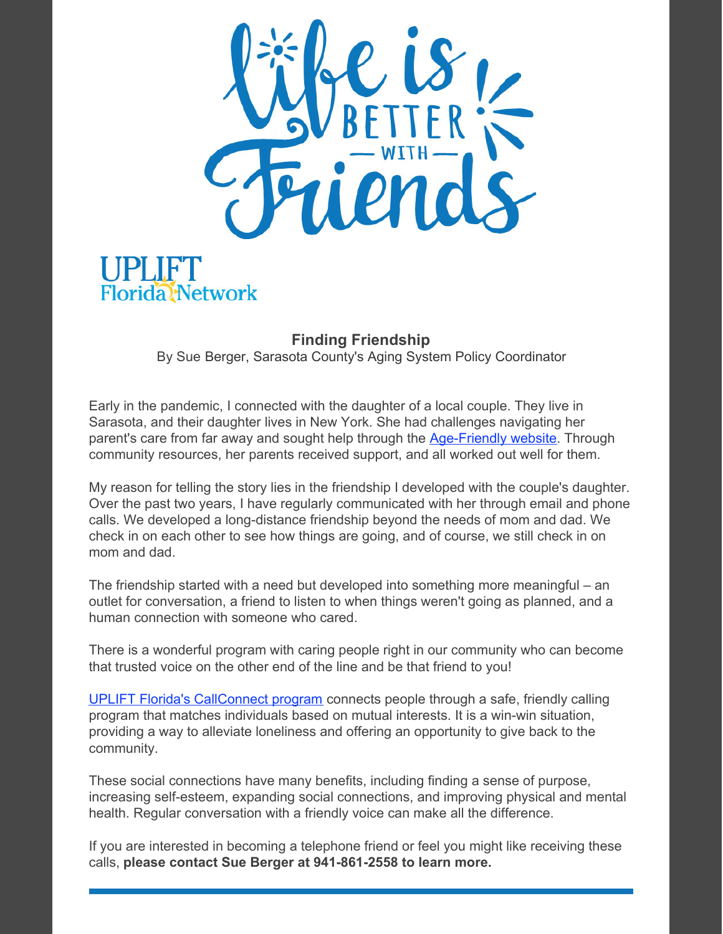

# Florida<sup>N</sup>etwork

### **Finding Friendship**

By Sue Berger, Sarasota County's Aging System Policy Coordinator

Early in the pandemic, I connected with the daughter of a local couple. They live in Sarasota, and their daughter lives in New York. She had challenges navigating her parent's care from far away and sought help through the [Age-Friendly](https://www.agefriendlysarasota.org/) website. Through community resources, her parents received support, and all worked out well for them.

My reason for telling the story lies in the friendship I developed with the couple's daughter. Over the past two years, I have regularly communicated with her through email and phone calls. We developed a long-distance friendship beyond the needs of mom and dad. We check in on each other to see how things are going, and of course, we still check in on mom and dad.

The friendship started with a need but developed into something more meaningful – an outlet for conversation, a friend to listen to when things weren't going as planned, and a human connection with someone who cared.

There is a wonderful program with caring people right in our community who can become that trusted voice on the other end of the line and be that friend to you!

UPLIFT Florida's [CallConnect](https://www.thepattersonfoundation.org/uplift-florida-network.html) program connects people through a safe, friendly calling program that matches individuals based on mutual interests. It is a win-win situation, providing a way to alleviate loneliness and offering an opportunity to give back to the community.

These social connections have many benefits, including finding a sense of purpose, increasing self-esteem, expanding social connections, and improving physical and mental health. Regular conversation with a friendly voice can make all the difference.

If you are interested in becoming a telephone friend or feel you might like receiving these calls, **please contact Sue Berger at 941-861-2558 to learn more.**